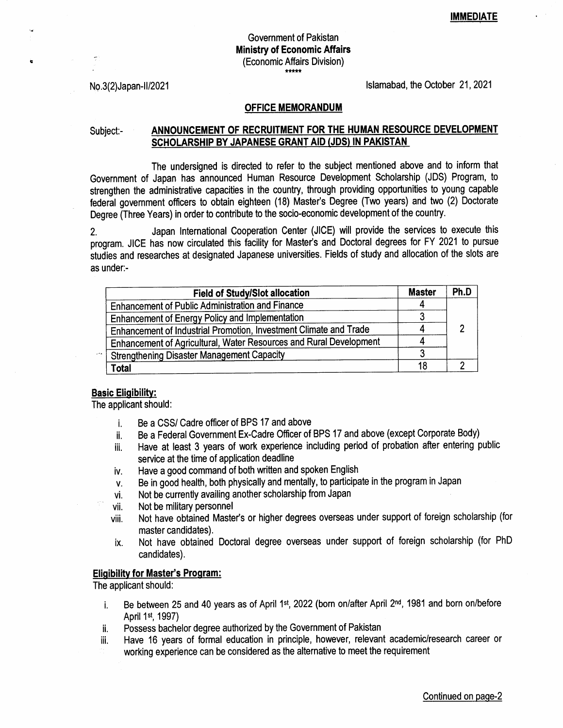# Government of Pakistan Ministry of Economic Affairs (Economic Affairs Division)

No.3(2)Japan-II/2021 **lslamabad, the October 21, 2021** 

#### OFFICE MEMORANDUM

E

## Subject:- ANNOUNCEMENT OF RECRUITMENT FOR THE HUMAN RESOURCE DEVELOPMENT SCHOLARSHIP BY JAPANESE GRANT AID (JDS) IN PAKISTAN

The undersigned is directed to refer to the subject mentioned above and to inform that Government of Japan has announced Human Resource Development Scholarship (JDS) Program, to strengthen the administrative capacities in the country, through providing opportunities to young capable federal govemment officers to obtain eighteen (18) Master's Degree (Two years) and two (2) Doctorate Degree (Three Years) in order to contribute to the socio-economic development of the country.

2. Japan International Cooperation Center (JICE) will provide the services to execute this program. JICE has now circulated this facility for Master's and Doctoral degrees for FY 2021 to pursue studies and researches at designated Japanese universities. Fields of study and allocation of the slots are as under:-

| <b>Field of Study/Slot allocation</b>                              | <b>Master</b> | Ph.D |
|--------------------------------------------------------------------|---------------|------|
| <b>Enhancement of Public Administration and Finance</b>            |               |      |
| <b>Enhancement of Energy Policy and Implementation</b>             |               |      |
| Enhancement of Industrial Promotion, Investment Climate and Trade  |               |      |
| Enhancement of Agricultural, Water Resources and Rural Development |               |      |
| <b>Strengthening Disaster Management Capacity</b>                  |               |      |
| Total                                                              | 18            |      |

### Basic Eligibility:

The applicant should:

- Be a CSS/ Cadre officer of BPS 17 and above l.
- Be a Federal Government Ex-Cadre Officer of BPS 17 and above (except Corporate Body) ii.
- Have at least 3 years of work experience including period of probation after entering public service at the time of application deadline iii.
- Have a good command of both written and spoken English tv.
- Be in good health, both physically and mentally, to participate in the program in Japan V.
- Not be currently availing another scholarship from Japan vi.
- Not be military personnel vii.
- Not have obtained Master's or higher degrees overseas under support of foreign scholarship (for master candidates). viii.
- Not have obtained Doctoral degree overseas under support of foreign scholarship (for PhD candidates). ix.

### Eligibility for Master's Program:

The applicant should:

- i. Be between 25 and 40 years as of April 1st, 2022 (born on/after April  $2<sup>nd</sup>$ , 1981 and born on/before April 1st, 1997)
- ii. Possess bachelor degree authorized by the Government of Pakistan
- iii. Have 16 years of formal education in principle, however, relevant academic/research career or
- working experience can be considered as the alternative to meet the requirement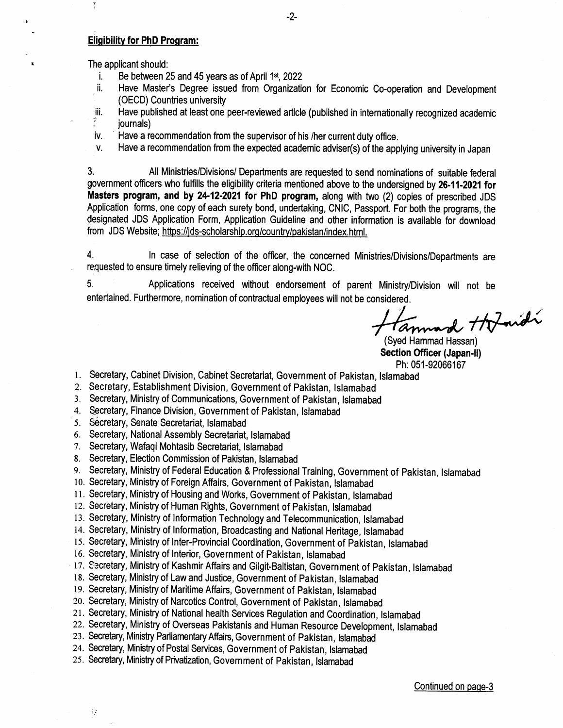## Eligibility for PhD Program:

 $\frac{1}{2}$ 

a

- 
- The applicant should:<br>i. Be between 25 and 45 years as of April 1st, 2022<br>ii. Have Master's Degree issued from Organization for Economic Co-operation and Development
	- ं (OECD) Countries university<br>iii. Have published at least one peer-reviewed article (published in internationally recognized academic<br>ే iournals)
	- iv. ' Have a recommendation from the supervisor of his /her current duty office.
	- v. Have a recommendation from the expected academic adviser(s) of the applying university in Japan

3. All Ministries/Divisions/ Departments are requested to send nominations of suitable federal government officers who fulfills the eligibility criteria mentioned above to the undersigned by 26.11-2021 for Masters program, and by 24-12-2021 for PhD program, along with two (2) copies of prescribed JDS Application forms, one copy of each surety bond, undertaking, CNIC, Passport. For both the programs, the designated JDS Application Form, Application Guideline and other information is available for download from JDS Website; https://jds-scholarship.org/country/pakistan/index.html.

4. ln case of selection of the officer, the concerned Ministries/Divisions/Departments are requested to ensure timely relieving of the officer along-with NOC.

5, Applications received without endorsement of parent Ministry/Division will not be entertained. Furthermore, nomination of contractual employees will not be considered.

Tannard Hofmidi

(Syed Hammad Hassan) Section Officer (Japan.ll)

- Ph:051-92066167 l. Secretary, Cabinet Division, Cabinet Secretariat, Government of Pakistan, lslamabad
- 2. Secretary, Establishment Division, Government of Pakistan, !slamabad
- 3. Secretary, Ministry of Communications, Government of Pakistan, lstamabad
- 4. Secretary, Finance Division, Government of Pakistan, Islamabad
- 5. Secretary, Senate Secretariat, Islamabad

 $\hat{z}_i$ 

- 6. Secretary, National Assembly Secretariat, lslamabad
- 7. Secretary, Wafaqi Mohtasib Secretariat, lslamabad
- 8. Secretary, Election Commission of Pakistan, lslamabad
- 9. Secretary, Ministry of Federal Education & Professional Tralning, Government of Pakistan, lslamabad
- 10. Secretary, Ministry of Foreign Affairs, Government of Pakistan, lslamabad
- <sup>I</sup>l. Secretary, Ministry of Housing and Works, Government of Pakistan, lslamabad
- 12. Secretary, Ministry of Human Rights, Government of Pakistan, lslamabad
- 13. Secretary, Ministry of lnformation Technology and Telecommunication, lslamabad
- 14. Secretary, Ministry of lnformation, Broadcasting and Nationat Heritage, lslamabad
- 15. Secretary, Ministry of Inter-Provincial Coordination, Government of Pakistan, lstamabad
- 16. secretary, Ministry of lnterior, Government of Pakistan, lslamabad
- 17. Secretary, Ministry of Kashmir Affairs and Gilgit-Baltistan, Government of Pakistan, Islamabad
- 18. Secretary, Ministry of Law and Justice, Government of Pakistan, lslamabad
- 19. Secretary, Ministry of Maritime Affairs, Government of Pakistan, Islamabad
- 20. Secretary, Ministry of Narcotics Control, Government of Pakistan, Islamabad
- 21. Secretary, Ministry of National health Services Regulation and Coordination, Islamabad
- zz. Secretary, Ministry of Overseas Pakistanis and Human Resource Development, lslamabad
- 23. Secretary, Ministry ParllamentaryAffairs, Government of Pakistan, lslamabad
- 24. Secretary, Ministry of Postal Services, Government of Pakistan, lslamabad
- zs. Secretary, Ministry of Privatization, Government of Pakistan, lslamabad